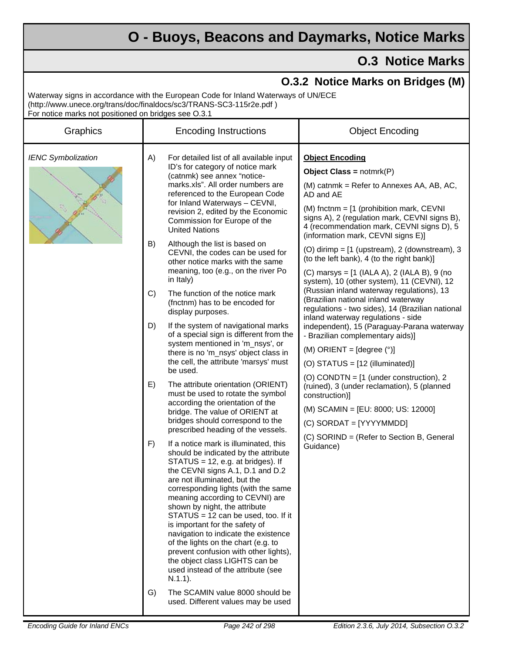## **O - Buoys, Beacons and Daymarks, Notice Marks**

## **O.3 Notice Marks**

| For notice marks not positioned on bridges see O.3.1 | Waterway signs in accordance with the European Code for Inland Waterways of UN/ECE<br>(http://www.unece.org/trans/doc/finaldocs/sc3/TRANS-SC3-115r2e.pdf)                                                                                                                                                                                                                                                                                                                                                                                                                                                                                                                                                                                                                                                                                                                                                                                                                                                                                                                                                                                                                                                                                                                                                                      | <b>O.3.2 Notice Marks on Bridges (M)</b>                                                                                                                                                                                                                                                                                                                                                                                                                                                                                                                                                                                                                                                                                                                                                                      |
|------------------------------------------------------|--------------------------------------------------------------------------------------------------------------------------------------------------------------------------------------------------------------------------------------------------------------------------------------------------------------------------------------------------------------------------------------------------------------------------------------------------------------------------------------------------------------------------------------------------------------------------------------------------------------------------------------------------------------------------------------------------------------------------------------------------------------------------------------------------------------------------------------------------------------------------------------------------------------------------------------------------------------------------------------------------------------------------------------------------------------------------------------------------------------------------------------------------------------------------------------------------------------------------------------------------------------------------------------------------------------------------------|---------------------------------------------------------------------------------------------------------------------------------------------------------------------------------------------------------------------------------------------------------------------------------------------------------------------------------------------------------------------------------------------------------------------------------------------------------------------------------------------------------------------------------------------------------------------------------------------------------------------------------------------------------------------------------------------------------------------------------------------------------------------------------------------------------------|
| Graphics                                             | <b>Encoding Instructions</b>                                                                                                                                                                                                                                                                                                                                                                                                                                                                                                                                                                                                                                                                                                                                                                                                                                                                                                                                                                                                                                                                                                                                                                                                                                                                                                   | <b>Object Encoding</b>                                                                                                                                                                                                                                                                                                                                                                                                                                                                                                                                                                                                                                                                                                                                                                                        |
| <b>IENC Symbolization</b>                            | For detailed list of all available input<br>A)<br>ID's for category of notice mark<br>(catnmk) see annex "notice-<br>marks.xls". All order numbers are<br>referenced to the European Code<br>for Inland Waterways - CEVNI,<br>revision 2, edited by the Economic<br>Commission for Europe of the<br><b>United Nations</b>                                                                                                                                                                                                                                                                                                                                                                                                                                                                                                                                                                                                                                                                                                                                                                                                                                                                                                                                                                                                      | <b>Object Encoding</b><br><b>Object Class = notmrk(P)</b><br>(M) catnmk = Refer to Annexes AA, AB, AC,<br>AD and AE<br>(M) fnctnm = $[1$ (prohibition mark, CEVNI<br>signs A), 2 (regulation mark, CEVNI signs B),<br>4 (recommendation mark, CEVNI signs D), 5                                                                                                                                                                                                                                                                                                                                                                                                                                                                                                                                               |
|                                                      | B)<br>Although the list is based on<br>CEVNI, the codes can be used for<br>other notice marks with the same<br>meaning, too (e.g., on the river Po<br>in Italy)<br>The function of the notice mark<br>C)<br>(fnctnm) has to be encoded for<br>display purposes.<br>D)<br>If the system of navigational marks<br>of a special sign is different from the<br>system mentioned in 'm_nsys', or<br>there is no 'm_nsys' object class in<br>the cell, the attribute 'marsys' must<br>be used.<br>The attribute orientation (ORIENT)<br>E)<br>must be used to rotate the symbol<br>according the orientation of the<br>bridge. The value of ORIENT at<br>bridges should correspond to the<br>prescribed heading of the vessels.<br>F)<br>If a notice mark is illuminated, this<br>should be indicated by the attribute<br>$STATUS = 12$ , e.g. at bridges). If<br>the CEVNI signs A.1, D.1 and D.2<br>are not illuminated, but the<br>corresponding lights (with the same<br>meaning according to CEVNI) are<br>shown by night, the attribute<br>STATUS = 12 can be used, too. If it<br>is important for the safety of<br>navigation to indicate the existence<br>of the lights on the chart (e.g. to<br>prevent confusion with other lights),<br>the object class LIGHTS can be<br>used instead of the attribute (see<br>$N.1.1$ ). | (information mark, CEVNI signs E)]<br>(O) dirimp $=$ [1 (upstream), 2 (downstream), 3<br>(to the left bank), 4 (to the right bank)]<br>(C) marsys = [1 (IALA A), 2 (IALA B), 9 (no<br>system), 10 (other system), 11 (CEVNI), 12<br>(Russian inland waterway regulations), 13<br>(Brazilian national inland waterway<br>regulations - two sides), 14 (Brazilian national<br>inland waterway regulations - side<br>independent), 15 (Paraguay-Parana waterway<br>- Brazilian complementary aids)]<br>(M) ORIENT = $[degree (°)]$<br>(O) STATUS = $[12$ (illuminated)]<br>(O) CONDTN = $[1$ (under construction), 2<br>(ruined), 3 (under reclamation), 5 (planned<br>construction)]<br>(M) SCAMIN = [EU: 8000; US: 12000]<br>(C) SORDAT = [YYYYMMDD]<br>(C) SORIND = (Refer to Section B, General<br>Guidance) |
|                                                      | G)<br>The SCAMIN value 8000 should be<br>used. Different values may be used                                                                                                                                                                                                                                                                                                                                                                                                                                                                                                                                                                                                                                                                                                                                                                                                                                                                                                                                                                                                                                                                                                                                                                                                                                                    |                                                                                                                                                                                                                                                                                                                                                                                                                                                                                                                                                                                                                                                                                                                                                                                                               |